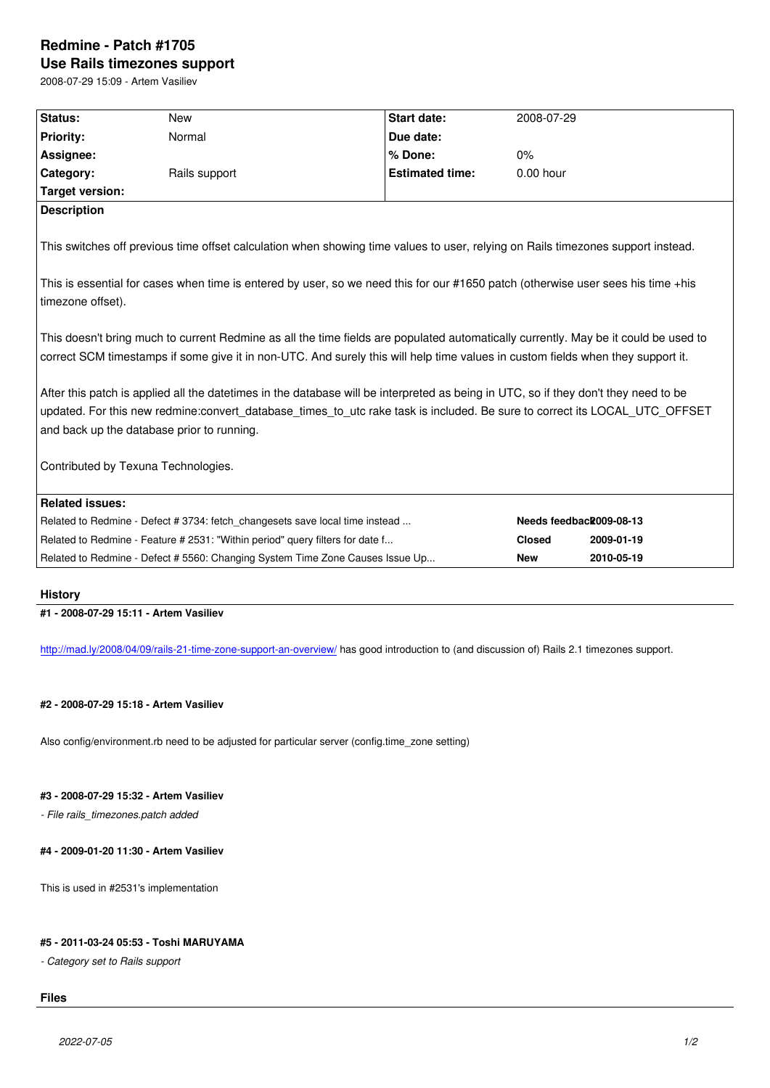#### **Use Rails timezones support**

2008-07-29 15:09 - Artem Vasiliev

| Status:                | <b>New</b>                                                                                                                                                                                                                                                                                                      | <b>Start date:</b>     | 2008-07-29    |                         |
|------------------------|-----------------------------------------------------------------------------------------------------------------------------------------------------------------------------------------------------------------------------------------------------------------------------------------------------------------|------------------------|---------------|-------------------------|
| <b>Priority:</b>       | Normal                                                                                                                                                                                                                                                                                                          | Due date:              |               |                         |
| Assignee:              |                                                                                                                                                                                                                                                                                                                 | % Done:                | $0\%$         |                         |
| Category:              | Rails support                                                                                                                                                                                                                                                                                                   | <b>Estimated time:</b> | 0.00 hour     |                         |
| <b>Target version:</b> |                                                                                                                                                                                                                                                                                                                 |                        |               |                         |
| <b>Description</b>     |                                                                                                                                                                                                                                                                                                                 |                        |               |                         |
|                        | This switches off previous time offset calculation when showing time values to user, relying on Rails timezones support instead.<br>This is essential for cases when time is entered by user, so we need this for our #1650 patch (otherwise user sees his time +his                                            |                        |               |                         |
| timezone offset).      |                                                                                                                                                                                                                                                                                                                 |                        |               |                         |
|                        | This doesn't bring much to current Redmine as all the time fields are populated automatically currently. May be it could be used to<br>correct SCM timestamps if some give it in non-UTC. And surely this will help time values in custom fields when they support it.                                          |                        |               |                         |
|                        | After this patch is applied all the datetimes in the database will be interpreted as being in UTC, so if they don't they need to be<br>updated. For this new redmine:convert_database_times_to_utc rake task is included. Be sure to correct its LOCAL_UTC_OFFSET<br>and back up the database prior to running. |                        |               |                         |
|                        | Contributed by Texuna Technologies.                                                                                                                                                                                                                                                                             |                        |               |                         |
| <b>Related issues:</b> |                                                                                                                                                                                                                                                                                                                 |                        |               |                         |
|                        |                                                                                                                                                                                                                                                                                                                 |                        |               |                         |
|                        | Related to Redmine - Defect # 3734: fetch changesets save local time instead                                                                                                                                                                                                                                    |                        |               | Needs feedback009-08-13 |
|                        | Related to Redmine - Feature # 2531: "Within period" query filters for date f                                                                                                                                                                                                                                   |                        | <b>Closed</b> | 2009-01-19              |

## **History**

## **#1 - 2008-07-29 15:11 - Artem Vasiliev**

http://mad.ly/2008/04/09/rails-21-time-zone-support-an-overview/</u> has good introduction to (and discussion of) Rails 2.1 timezones support.

### **[#2 - 2008-07-29 15:18 - Artem Vasiliev](http://mad.ly/2008/04/09/rails-21-time-zone-support-an-overview/)**

Also config/environment.rb need to be adjusted for particular server (config.time\_zone setting)

# **#3 - 2008-07-29 15:32 - Artem Vasiliev**

*- File rails\_timezones.patch added*

## **#4 - 2009-01-20 11:30 - Artem Vasiliev**

This is used in #2531's implementation

### **#5 - 2011-03-24 05:53 - Toshi MARUYAMA**

*- Category set to Rails support*

# **Files**